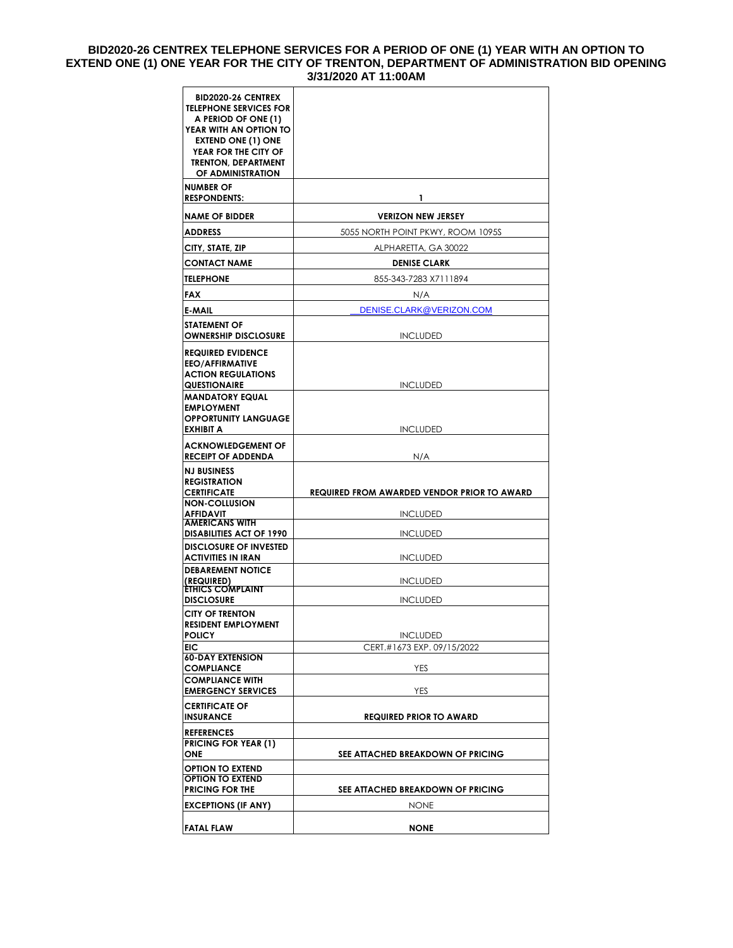### **BID2020-26 CENTREX TELEPHONE SERVICES FOR A PERIOD OF ONE (1) YEAR WITH AN OPTION TO EXTEND ONE (1) ONE YEAR FOR THE CITY OF TRENTON, DEPARTMENT OF ADMINISTRATION BID OPENING 3/31/2020 AT 11:00AM**

| <b>BID2020-26 CENTREX</b><br><b>TELEPHONE SERVICES FOR</b><br>A PERIOD OF ONE (1)<br>YEAR WITH AN OPTION TO<br><b>EXTEND ONE (1) ONE</b><br>YEAR FOR THE CITY OF<br><b>TRENTON, DEPARTMENT</b><br>OF ADMINISTRATION |                                                    |  |  |
|---------------------------------------------------------------------------------------------------------------------------------------------------------------------------------------------------------------------|----------------------------------------------------|--|--|
| <b>NUMBER OF</b><br><b>RESPONDENTS:</b>                                                                                                                                                                             | 1                                                  |  |  |
| <b>NAME OF BIDDER</b>                                                                                                                                                                                               | <b>VERIZON NEW JERSEY</b>                          |  |  |
| <b>ADDRESS</b>                                                                                                                                                                                                      | 5055 NORTH POINT PKWY, ROOM 1095S                  |  |  |
| CITY, STATE, ZIP                                                                                                                                                                                                    | ALPHARETTA, GA 30022                               |  |  |
| <b>CONTACT NAME</b>                                                                                                                                                                                                 | <b>DENISE CLARK</b>                                |  |  |
| TELEPHONE                                                                                                                                                                                                           | 855-343-7283 X7111894                              |  |  |
| FAX                                                                                                                                                                                                                 | N/A                                                |  |  |
| E-MAIL                                                                                                                                                                                                              | DENISE.CLARK@VERIZON.COM                           |  |  |
| <b>STATEMENT OF</b><br><b>OWNERSHIP DISCLOSURE</b>                                                                                                                                                                  | <b>INCLUDED</b>                                    |  |  |
| <b>REQUIRED EVIDENCE</b><br><b>EEO/AFFIRMATIVE</b><br><b>ACTION REGULATIONS</b><br><b>QUESTIONAIRE</b>                                                                                                              | <b>INCLUDED</b>                                    |  |  |
| <b>MANDATORY EQUAL</b><br><b>EMPLOYMENT</b><br><b>OPPORTUNITY LANGUAGE</b><br><b>EXHIBIT A</b>                                                                                                                      | <b>INCLUDED</b>                                    |  |  |
| <b>ACKNOWLEDGEMENT OF</b><br><b>RECEIPT OF ADDENDA</b>                                                                                                                                                              | N/A                                                |  |  |
| NJ BUSINESS<br><b>REGISTRATION</b><br><b>CERTIFICATE</b>                                                                                                                                                            | <b>REQUIRED FROM AWARDED VENDOR PRIOR TO AWARD</b> |  |  |
| <b>NON-COLLUSION</b><br><b>AFFIDAVIT</b>                                                                                                                                                                            | <b>INCLUDED</b>                                    |  |  |
| <b>AMERICANS WITH</b>                                                                                                                                                                                               |                                                    |  |  |
| <b>DISABILITIES ACT OF 1990</b><br><b>DISCLOSURE OF INVESTED</b>                                                                                                                                                    | <b>INCLUDED</b>                                    |  |  |
| <b>ACTIVITIES IN IRAN</b>                                                                                                                                                                                           | <b>INCLUDED</b>                                    |  |  |
| <b>DEBAREMENT NOTICE</b><br>(REQUIRED)                                                                                                                                                                              | <b>INCLUDED</b>                                    |  |  |
| <b>ÉTHICS COMPLAINT</b><br><b>DISCLOSURE</b>                                                                                                                                                                        | <b>INCLUDED</b>                                    |  |  |
| <b>CITY OF TRENTON</b><br><b>RESIDENT EMPLOYMENT</b><br>POLICY                                                                                                                                                      | <b>INCLUDED</b>                                    |  |  |
| EIC                                                                                                                                                                                                                 | CERT.#1673 EXP. 09/15/2022                         |  |  |
| <b>60-DAY EXTENSION</b><br><b>COMPLIANCE</b>                                                                                                                                                                        | YES                                                |  |  |
| <b>COMPLIANCE WITH</b><br><b>EMERGENCY SERVICES</b>                                                                                                                                                                 | YES                                                |  |  |
| <b>CERTIFICATE OF</b><br><b>INSURANCE</b>                                                                                                                                                                           | <b>REQUIRED PRIOR TO AWARD</b>                     |  |  |
| <b>REFERENCES</b><br><b>PRICING FOR YEAR (1)</b>                                                                                                                                                                    |                                                    |  |  |
| ONE                                                                                                                                                                                                                 | SEE ATTACHED BREAKDOWN OF PRICING                  |  |  |
| <b>OPTION TO EXTEND</b>                                                                                                                                                                                             |                                                    |  |  |
| <b>OPTION TO EXTEND</b><br><b>PRICING FOR THE</b>                                                                                                                                                                   | SEE ATTACHED BREAKDOWN OF PRICING                  |  |  |
| <b>EXCEPTIONS (IF ANY)</b>                                                                                                                                                                                          | <b>NONE</b>                                        |  |  |
| <b>FATAL FLAW</b>                                                                                                                                                                                                   | <b>NONE</b>                                        |  |  |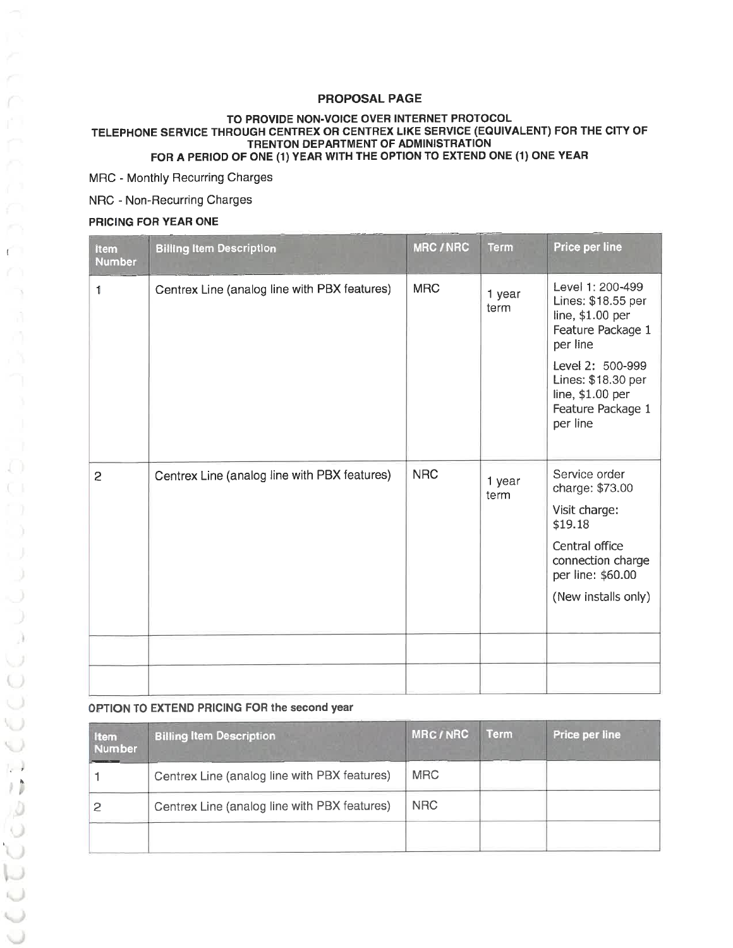# **PROPOSAL PAGE**

#### TO PROVIDE NON-VOICE OVER INTERNET PROTOCOL TELEPHONE SERVICE THROUGH CENTREX OR CENTREX LIKE SERVICE (EQUIVALENT) FOR THE CITY OF TRENTON DEPARTMENT OF ADMINISTRATION FOR A PERIOD OF ONE (1) YEAR WITH THE OPTION TO EXTEND ONE (1) ONE YEAR

MRC - Monthly Recurring Charges

NRC - Non-Recurring Charges

#### PRICING FOR YEAR ONE

| <b>Item</b><br><b>Number</b> | <b>Billing Item Description</b>              | <b>MRC/NRC</b> | <b>Term</b>    | Price per line                                                                                                                                                                             |
|------------------------------|----------------------------------------------|----------------|----------------|--------------------------------------------------------------------------------------------------------------------------------------------------------------------------------------------|
| 1                            | Centrex Line (analog line with PBX features) | <b>MRC</b>     | 1 year<br>term | Level 1: 200-499<br>Lines: \$18.55 per<br>line, \$1.00 per<br>Feature Package 1<br>per line<br>Level 2: 500-999<br>Lines: \$18.30 per<br>line, \$1.00 per<br>Feature Package 1<br>per line |
| 2                            | Centrex Line (analog line with PBX features) | <b>NRC</b>     | 1 year<br>term | Service order<br>charge: \$73.00<br>Visit charge:<br>\$19.18<br>Central office<br>connection charge<br>per line: \$60.00<br>(New installs only)                                            |
|                              |                                              |                |                |                                                                                                                                                                                            |

## OPTION TO EXTEND PRICING FOR the second year

| Item<br><b>Number</b> | <b>Billing Item Description</b>              | <b>MRC/NRC</b> | Term | Price per line |
|-----------------------|----------------------------------------------|----------------|------|----------------|
|                       | Centrex Line (analog line with PBX features) | <b>MRC</b>     |      |                |
|                       | Centrex Line (analog line with PBX features) | <b>NRC</b>     |      |                |
|                       |                                              |                |      |                |